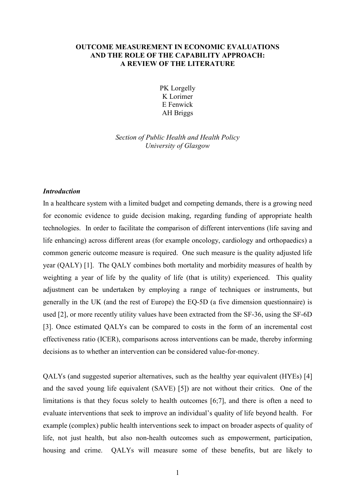### OUTCOME MEASUREMENT IN ECONOMIC EVALUATIONS AND THE ROLE OF THE CAPABILITY APPROACH: A REVIEW OF THE LITERATURE

PK Lorgelly K Lorimer E Fenwick AH Briggs

Section of Public Health and Health Policy University of Glasgow

#### **Introduction**

In a healthcare system with a limited budget and competing demands, there is a growing need for economic evidence to guide decision making, regarding funding of appropriate health technologies. In order to facilitate the comparison of different interventions (life saving and life enhancing) across different areas (for example oncology, cardiology and orthopaedics) a common generic outcome measure is required. One such measure is the quality adjusted life year (QALY) [1]. The QALY combines both mortality and morbidity measures of health by weighting a year of life by the quality of life (that is utility) experienced. This quality adjustment can be undertaken by employing a range of techniques or instruments, but generally in the UK (and the rest of Europe) the EQ-5D (a five dimension questionnaire) is used [2], or more recently utility values have been extracted from the SF-36, using the SF-6D [3]. Once estimated QALYs can be compared to costs in the form of an incremental cost effectiveness ratio (ICER), comparisons across interventions can be made, thereby informing decisions as to whether an intervention can be considered value-for-money.

QALYs (and suggested superior alternatives, such as the healthy year equivalent (HYEs) [4] and the saved young life equivalent (SAVE) [5]) are not without their critics. One of the limitations is that they focus solely to health outcomes [6;7], and there is often a need to evaluate interventions that seek to improve an individual's quality of life beyond health. For example (complex) public health interventions seek to impact on broader aspects of quality of life, not just health, but also non-health outcomes such as empowerment, participation, housing and crime. QALYs will measure some of these benefits, but are likely to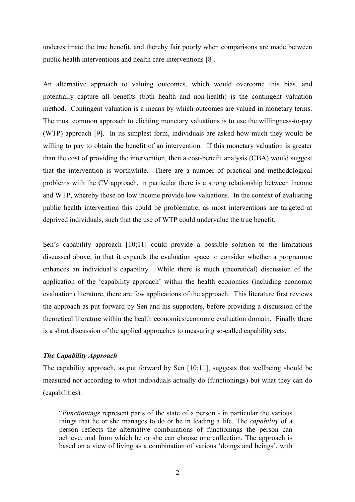underestimate the true benefit, and thereby fair poorly when comparisons are made between public health interventions and health care interventions [8].

An alternative approach to valuing outcomes, which would overcome this bias, and potentially capture all benefits (both health and non-health) is the contingent valuation method. Contingent valuation is a means by which outcomes are valued in monetary terms. The most common approach to eliciting monetary valuations is to use the willingness-to-pay (WTP) approach [9]. In its simplest form, individuals are asked how much they would be willing to pay to obtain the benefit of an intervention. If this monetary valuation is greater than the cost of providing the intervention, then a cost-benefit analysis (CBA) would suggest that the intervention is worthwhile. There are a number of practical and methodological problems with the CV approach, in particular there is a strong relationship between income and WTP, whereby those on low income provide low valuations. In the context of evaluating public health intervention this could be problematic, as most interventions are targeted at deprived individuals, such that the use of WTP could undervalue the true benefit.

Sen's capability approach [10;11] could provide a possible solution to the limitations discussed above, in that it expands the evaluation space to consider whether a programme enhances an individual's capability. While there is much (theoretical) discussion of the application of the 'capability approach' within the health economics (including economic evaluation) literature, there are few applications of the approach. This literature first reviews the approach as put forward by Sen and his supporters, before providing a discussion of the theoretical literature within the health economics/economic evaluation domain. Finally there is a short discussion of the applied approaches to measuring so-called capability sets.

# The Capability Approach

The capability approach, as put forward by Sen [10;11], suggests that wellbeing should be measured not according to what individuals actually do (functionings) but what they can do (capabilities).

"Functionings represent parts of the state of a person - in particular the various things that he or she manages to do or be in leading a life. The *capability* of a person reflects the alternative combinations of functionings the person can achieve, and from which he or she can choose one collection. The approach is based on a view of living as a combination of various 'doings and beings', with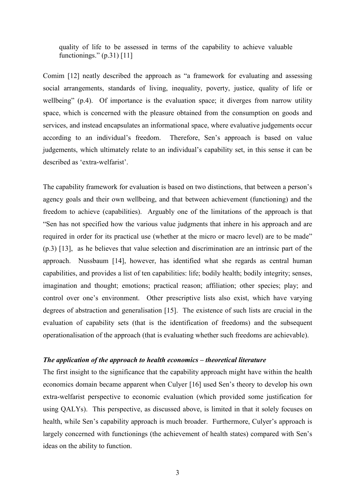quality of life to be assessed in terms of the capability to achieve valuable functionings."  $(p.31)$  [11]

Comim [12] neatly described the approach as "a framework for evaluating and assessing social arrangements, standards of living, inequality, poverty, justice, quality of life or wellbeing" (p.4). Of importance is the evaluation space; it diverges from narrow utility space, which is concerned with the pleasure obtained from the consumption on goods and services, and instead encapsulates an informational space, where evaluative judgements occur according to an individual's freedom. Therefore, Sen's approach is based on value judgements, which ultimately relate to an individual's capability set, in this sense it can be described as 'extra-welfarist'.

The capability framework for evaluation is based on two distinctions, that between a person's agency goals and their own wellbeing, and that between achievement (functioning) and the freedom to achieve (capabilities). Arguably one of the limitations of the approach is that "Sen has not specified how the various value judgments that inhere in his approach and are required in order for its practical use (whether at the micro or macro level) are to be made" (p.3) [13], as he believes that value selection and discrimination are an intrinsic part of the approach. Nussbaum [14], however, has identified what she regards as central human capabilities, and provides a list of ten capabilities: life; bodily health; bodily integrity; senses, imagination and thought; emotions; practical reason; affiliation; other species; play; and control over one's environment. Other prescriptive lists also exist, which have varying degrees of abstraction and generalisation [15]. The existence of such lists are crucial in the evaluation of capability sets (that is the identification of freedoms) and the subsequent operationalisation of the approach (that is evaluating whether such freedoms are achievable).

#### The application of the approach to health economics – theoretical literature

The first insight to the significance that the capability approach might have within the health economics domain became apparent when Culyer [16] used Sen's theory to develop his own extra-welfarist perspective to economic evaluation (which provided some justification for using QALYs). This perspective, as discussed above, is limited in that it solely focuses on health, while Sen's capability approach is much broader. Furthermore, Culyer's approach is largely concerned with functionings (the achievement of health states) compared with Sen's ideas on the ability to function.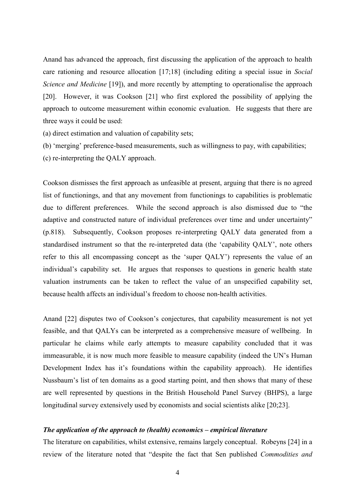Anand has advanced the approach, first discussing the application of the approach to health care rationing and resource allocation [17;18] (including editing a special issue in Social Science and Medicine [19]), and more recently by attempting to operationalise the approach [20]. However, it was Cookson [21] who first explored the possibility of applying the approach to outcome measurement within economic evaluation. He suggests that there are three ways it could be used:

(a) direct estimation and valuation of capability sets;

- (b) 'merging' preference-based measurements, such as willingness to pay, with capabilities;
- (c) re-interpreting the QALY approach.

Cookson dismisses the first approach as unfeasible at present, arguing that there is no agreed list of functionings, and that any movement from functionings to capabilities is problematic due to different preferences. While the second approach is also dismissed due to "the adaptive and constructed nature of individual preferences over time and under uncertainty" (p.818). Subsequently, Cookson proposes re-interpreting QALY data generated from a standardised instrument so that the re-interpreted data (the 'capability QALY', note others refer to this all encompassing concept as the 'super QALY') represents the value of an individual's capability set. He argues that responses to questions in generic health state valuation instruments can be taken to reflect the value of an unspecified capability set, because health affects an individual's freedom to choose non-health activities.

Anand [22] disputes two of Cookson's conjectures, that capability measurement is not yet feasible, and that QALYs can be interpreted as a comprehensive measure of wellbeing. In particular he claims while early attempts to measure capability concluded that it was immeasurable, it is now much more feasible to measure capability (indeed the UN's Human Development Index has it's foundations within the capability approach). He identifies Nussbaum's list of ten domains as a good starting point, and then shows that many of these are well represented by questions in the British Household Panel Survey (BHPS), a large longitudinal survey extensively used by economists and social scientists alike [20;23].

#### The application of the approach to (health) economics – empirical literature

The literature on capabilities, whilst extensive, remains largely conceptual. Robeyns [24] in a review of the literature noted that "despite the fact that Sen published Commodities and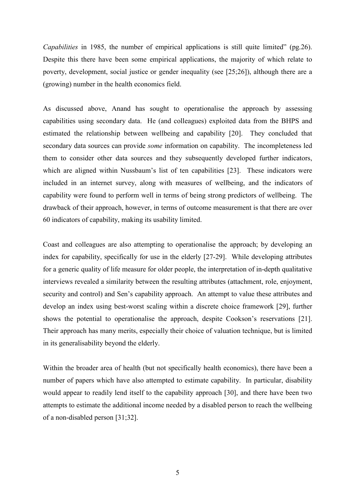Capabilities in 1985, the number of empirical applications is still quite limited" (pg.26). Despite this there have been some empirical applications, the majority of which relate to poverty, development, social justice or gender inequality (see [25;26]), although there are a (growing) number in the health economics field.

As discussed above, Anand has sought to operationalise the approach by assessing capabilities using secondary data. He (and colleagues) exploited data from the BHPS and estimated the relationship between wellbeing and capability [20]. They concluded that secondary data sources can provide some information on capability. The incompleteness led them to consider other data sources and they subsequently developed further indicators, which are aligned within Nussbaum's list of ten capabilities [23]. These indicators were included in an internet survey, along with measures of wellbeing, and the indicators of capability were found to perform well in terms of being strong predictors of wellbeing. The drawback of their approach, however, in terms of outcome measurement is that there are over 60 indicators of capability, making its usability limited.

Coast and colleagues are also attempting to operationalise the approach; by developing an index for capability, specifically for use in the elderly [27-29]. While developing attributes for a generic quality of life measure for older people, the interpretation of in-depth qualitative interviews revealed a similarity between the resulting attributes (attachment, role, enjoyment, security and control) and Sen's capability approach. An attempt to value these attributes and develop an index using best-worst scaling within a discrete choice framework [29], further shows the potential to operationalise the approach, despite Cookson's reservations [21]. Their approach has many merits, especially their choice of valuation technique, but is limited in its generalisability beyond the elderly.

Within the broader area of health (but not specifically health economics), there have been a number of papers which have also attempted to estimate capability. In particular, disability would appear to readily lend itself to the capability approach [30], and there have been two attempts to estimate the additional income needed by a disabled person to reach the wellbeing of a non-disabled person [31;32].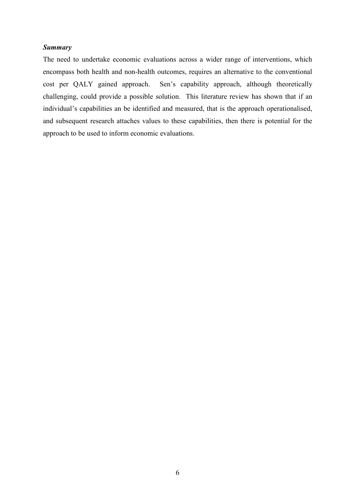## Summary

The need to undertake economic evaluations across a wider range of interventions, which encompass both health and non-health outcomes, requires an alternative to the conventional cost per QALY gained approach. Sen's capability approach, although theoretically challenging, could provide a possible solution. This literature review has shown that if an individual's capabilities an be identified and measured, that is the approach operationalised, and subsequent research attaches values to these capabilities, then there is potential for the approach to be used to inform economic evaluations.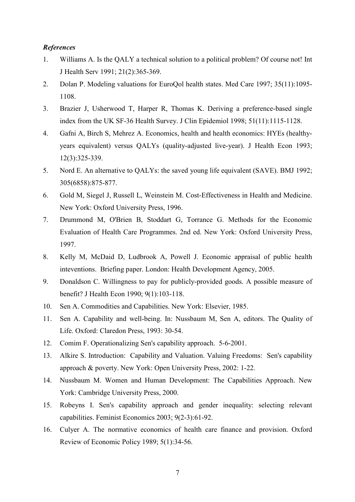## **References**

- 1. Williams A. Is the QALY a technical solution to a political problem? Of course not! Int J Health Serv 1991; 21(2):365-369.
- 2. Dolan P. Modeling valuations for EuroQol health states. Med Care 1997; 35(11):1095- 1108.
- 3. Brazier J, Usherwood T, Harper R, Thomas K. Deriving a preference-based single index from the UK SF-36 Health Survey. J Clin Epidemiol 1998; 51(11):1115-1128.
- 4. Gafni A, Birch S, Mehrez A. Economics, health and health economics: HYEs (healthyyears equivalent) versus QALYs (quality-adjusted live-year). J Health Econ 1993; 12(3):325-339.
- 5. Nord E. An alternative to QALYs: the saved young life equivalent (SAVE). BMJ 1992; 305(6858):875-877.
- 6. Gold M, Siegel J, Russell L, Weinstein M. Cost-Effectiveness in Health and Medicine. New York: Oxford University Press, 1996.
- 7. Drummond M, O'Brien B, Stoddart G, Torrance G. Methods for the Economic Evaluation of Health Care Programmes. 2nd ed. New York: Oxford University Press, 1997.
- 8. Kelly M, McDaid D, Ludbrook A, Powell J. Economic appraisal of public health inteventions. Briefing paper. London: Health Development Agency, 2005.
- 9. Donaldson C. Willingness to pay for publicly-provided goods. A possible measure of benefit? J Health Econ 1990; 9(1):103-118.
- 10. Sen A. Commodities and Capabilities. New York: Elsevier, 1985.
- 11. Sen A. Capability and well-being. In: Nussbaum M, Sen A, editors. The Quality of Life. Oxford: Claredon Press, 1993: 30-54.
- 12. Comim F. Operationalizing Sen's capability approach. 5-6-2001.
- 13. Alkire S. Introduction: Capability and Valuation. Valuing Freedoms: Sen's capability approach & poverty. New York: Open University Press, 2002: 1-22.
- 14. Nussbaum M. Women and Human Development: The Capabilities Approach. New York: Cambridge University Press, 2000.
- 15. Robeyns I. Sen's capability approach and gender inequality: selecting relevant capabilities. Feminist Economics 2003; 9(2-3):61-92.
- 16. Culyer A. The normative economics of health care finance and provision. Oxford Review of Economic Policy 1989; 5(1):34-56.